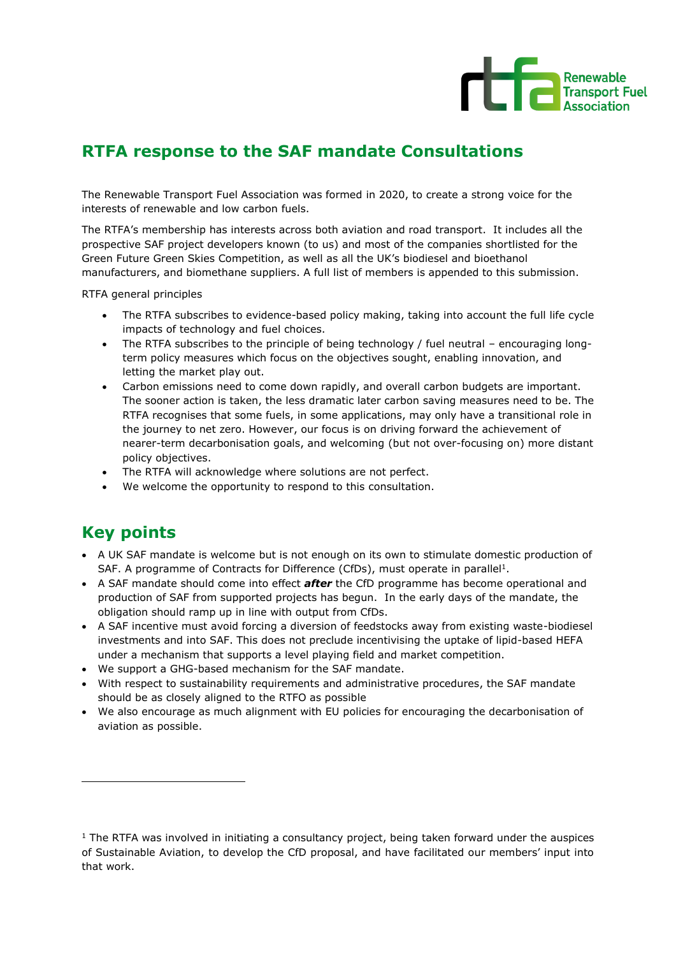

# **RTFA response to the SAF mandate Consultations**

The Renewable Transport Fuel Association was formed in 2020, to create a strong voice for the interests of renewable and low carbon fuels.

The RTFA's membership has interests across both aviation and road transport. It includes all the prospective SAF project developers known (to us) and most of the companies shortlisted for the Green Future Green Skies Competition, as well as all the UK's biodiesel and bioethanol manufacturers, and biomethane suppliers. A full list of members is appended to this submission.

RTFA general principles

- The RTFA subscribes to evidence-based policy making, taking into account the full life cycle impacts of technology and fuel choices.
- The RTFA subscribes to the principle of being technology / fuel neutral encouraging longterm policy measures which focus on the objectives sought, enabling innovation, and letting the market play out.
- Carbon emissions need to come down rapidly, and overall carbon budgets are important. The sooner action is taken, the less dramatic later carbon saving measures need to be. The RTFA recognises that some fuels, in some applications, may only have a transitional role in the journey to net zero. However, our focus is on driving forward the achievement of nearer-term decarbonisation goals, and welcoming (but not over-focusing on) more distant policy objectives.
- The RTFA will acknowledge where solutions are not perfect.
- We welcome the opportunity to respond to this consultation.

## **Key points**

- A UK SAF mandate is welcome but is not enough on its own to stimulate domestic production of SAF. A programme of Contracts for Difference (CfDs), must operate in parallel<sup>1</sup>.
- A SAF mandate should come into effect *after* the CfD programme has become operational and production of SAF from supported projects has begun. In the early days of the mandate, the obligation should ramp up in line with output from CfDs.
- A SAF incentive must avoid forcing a diversion of feedstocks away from existing waste-biodiesel investments and into SAF. This does not preclude incentivising the uptake of lipid-based HEFA under a mechanism that supports a level playing field and market competition.
- We support a GHG-based mechanism for the SAF mandate.
- With respect to sustainability requirements and administrative procedures, the SAF mandate should be as closely aligned to the RTFO as possible
- We also encourage as much alignment with EU policies for encouraging the decarbonisation of aviation as possible.

 $1$  The RTFA was involved in initiating a consultancy project, being taken forward under the auspices of Sustainable Aviation, to develop the CfD proposal, and have facilitated our members' input into that work.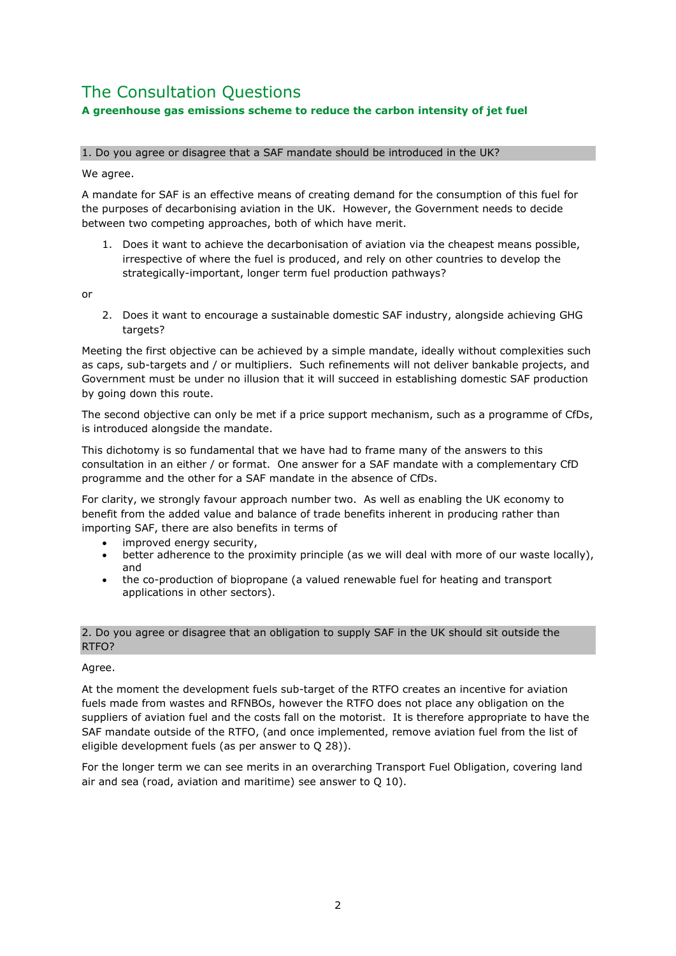## The Consultation Questions **A greenhouse gas emissions scheme to reduce the carbon intensity of jet fuel**

## 1. Do you agree or disagree that a SAF mandate should be introduced in the UK?

We agree.

A mandate for SAF is an effective means of creating demand for the consumption of this fuel for the purposes of decarbonising aviation in the UK. However, the Government needs to decide between two competing approaches, both of which have merit.

1. Does it want to achieve the decarbonisation of aviation via the cheapest means possible, irrespective of where the fuel is produced, and rely on other countries to develop the strategically-important, longer term fuel production pathways?

or

2. Does it want to encourage a sustainable domestic SAF industry, alongside achieving GHG targets?

Meeting the first objective can be achieved by a simple mandate, ideally without complexities such as caps, sub-targets and / or multipliers. Such refinements will not deliver bankable projects, and Government must be under no illusion that it will succeed in establishing domestic SAF production by going down this route.

The second objective can only be met if a price support mechanism, such as a programme of CfDs, is introduced alongside the mandate.

This dichotomy is so fundamental that we have had to frame many of the answers to this consultation in an either / or format. One answer for a SAF mandate with a complementary CfD programme and the other for a SAF mandate in the absence of CfDs.

For clarity, we strongly favour approach number two. As well as enabling the UK economy to benefit from the added value and balance of trade benefits inherent in producing rather than importing SAF, there are also benefits in terms of

- improved energy security,
- better adherence to the proximity principle (as we will deal with more of our waste locally), and
- the co-production of biopropane (a valued renewable fuel for heating and transport applications in other sectors).

## 2. Do you agree or disagree that an obligation to supply SAF in the UK should sit outside the RTFO?

## Agree.

At the moment the development fuels sub-target of the RTFO creates an incentive for aviation fuels made from wastes and RFNBOs, however the RTFO does not place any obligation on the suppliers of aviation fuel and the costs fall on the motorist. It is therefore appropriate to have the SAF mandate outside of the RTFO, (and once implemented, remove aviation fuel from the list of eligible development fuels (as per answer to Q 28)).

For the longer term we can see merits in an overarching Transport Fuel Obligation, covering land air and sea (road, aviation and maritime) see answer to Q 10).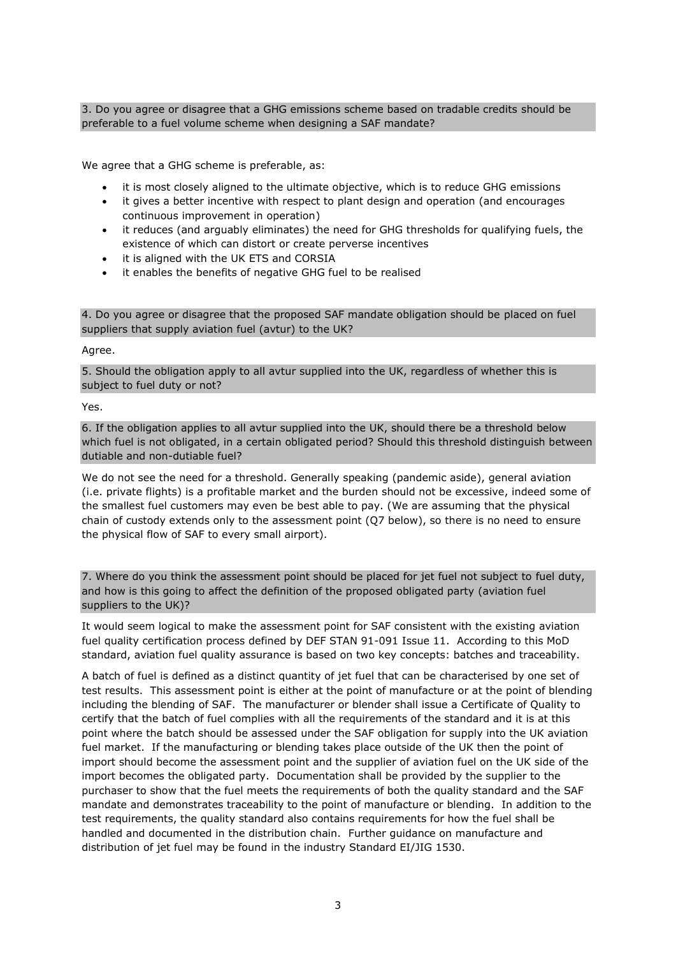3. Do you agree or disagree that a GHG emissions scheme based on tradable credits should be preferable to a fuel volume scheme when designing a SAF mandate?

We agree that a GHG scheme is preferable, as:

- it is most closely aligned to the ultimate objective, which is to reduce GHG emissions
- it gives a better incentive with respect to plant design and operation (and encourages continuous improvement in operation)
- it reduces (and arguably eliminates) the need for GHG thresholds for qualifying fuels, the existence of which can distort or create perverse incentives
- it is aligned with the UK ETS and CORSIA
- it enables the benefits of negative GHG fuel to be realised

4. Do you agree or disagree that the proposed SAF mandate obligation should be placed on fuel suppliers that supply aviation fuel (avtur) to the UK?

Agree.

5. Should the obligation apply to all avtur supplied into the UK, regardless of whether this is subject to fuel duty or not?

Yes.

6. If the obligation applies to all avtur supplied into the UK, should there be a threshold below which fuel is not obligated, in a certain obligated period? Should this threshold distinguish between dutiable and non-dutiable fuel?

We do not see the need for a threshold. Generally speaking (pandemic aside), general aviation (i.e. private flights) is a profitable market and the burden should not be excessive, indeed some of the smallest fuel customers may even be best able to pay. (We are assuming that the physical chain of custody extends only to the assessment point (Q7 below), so there is no need to ensure the physical flow of SAF to every small airport).

7. Where do you think the assessment point should be placed for jet fuel not subject to fuel duty, and how is this going to affect the definition of the proposed obligated party (aviation fuel suppliers to the UK)?

It would seem logical to make the assessment point for SAF consistent with the existing aviation fuel quality certification process defined by DEF STAN 91-091 Issue 11. According to this MoD standard, aviation fuel quality assurance is based on two key concepts: batches and traceability.

A batch of fuel is defined as a distinct quantity of jet fuel that can be characterised by one set of test results. This assessment point is either at the point of manufacture or at the point of blending including the blending of SAF. The manufacturer or blender shall issue a Certificate of Quality to certify that the batch of fuel complies with all the requirements of the standard and it is at this point where the batch should be assessed under the SAF obligation for supply into the UK aviation fuel market. If the manufacturing or blending takes place outside of the UK then the point of import should become the assessment point and the supplier of aviation fuel on the UK side of the import becomes the obligated party. Documentation shall be provided by the supplier to the purchaser to show that the fuel meets the requirements of both the quality standard and the SAF mandate and demonstrates traceability to the point of manufacture or blending. In addition to the test requirements, the quality standard also contains requirements for how the fuel shall be handled and documented in the distribution chain. Further guidance on manufacture and distribution of jet fuel may be found in the industry Standard EI/JIG 1530.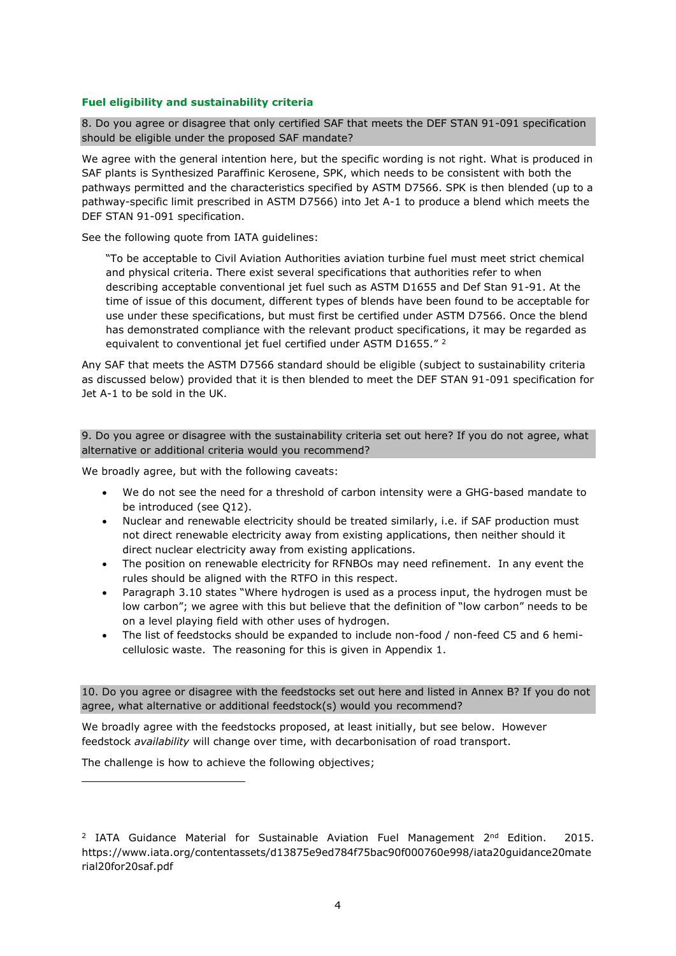## **Fuel eligibility and sustainability criteria**

8. Do you agree or disagree that only certified SAF that meets the DEF STAN 91-091 specification should be eligible under the proposed SAF mandate?

We agree with the general intention here, but the specific wording is not right. What is produced in SAF plants is Synthesized Paraffinic Kerosene, SPK, which needs to be consistent with both the pathways permitted and the characteristics specified by ASTM D7566. SPK is then blended (up to a pathway-specific limit prescribed in ASTM D7566) into Jet A-1 to produce a blend which meets the DEF STAN 91-091 specification.

See the following quote from IATA guidelines:

"To be acceptable to Civil Aviation Authorities aviation turbine fuel must meet strict chemical and physical criteria. There exist several specifications that authorities refer to when describing acceptable conventional jet fuel such as ASTM D1655 and Def Stan 91-91. At the time of issue of this document, different types of blends have been found to be acceptable for use under these specifications, but must first be certified under ASTM D7566. Once the blend has demonstrated compliance with the relevant product specifications, it may be regarded as equivalent to conventional jet fuel certified under ASTM D1655."<sup>2</sup>

Any SAF that meets the ASTM D7566 standard should be eligible (subject to sustainability criteria as discussed below) provided that it is then blended to meet the DEF STAN 91-091 specification for Jet A-1 to be sold in the UK.

### 9. Do you agree or disagree with the sustainability criteria set out here? If you do not agree, what alternative or additional criteria would you recommend?

We broadly agree, but with the following caveats:

- We do not see the need for a threshold of carbon intensity were a GHG-based mandate to be introduced (see Q12).
- Nuclear and renewable electricity should be treated similarly, i.e. if SAF production must not direct renewable electricity away from existing applications, then neither should it direct nuclear electricity away from existing applications.
- The position on renewable electricity for RFNBOs may need refinement. In any event the rules should be aligned with the RTFO in this respect.
- Paragraph 3.10 states "Where hydrogen is used as a process input, the hydrogen must be low carbon"; we agree with this but believe that the definition of "low carbon" needs to be on a level playing field with other uses of hydrogen.
- The list of feedstocks should be expanded to include non-food / non-feed C5 and 6 hemicellulosic waste. The reasoning for this is given in Appendix 1.

10. Do you agree or disagree with the feedstocks set out here and listed in Annex B? If you do not agree, what alternative or additional feedstock(s) would you recommend?

We broadly agree with the feedstocks proposed, at least initially, but see below. However feedstock *availability* will change over time, with decarbonisation of road transport.

The challenge is how to achieve the following objectives;

<sup>&</sup>lt;sup>2</sup> IATA Guidance Material for Sustainable Aviation Fuel Management  $2<sup>nd</sup>$  Edition. 2015. https://www.iata.org/contentassets/d13875e9ed784f75bac90f000760e998/iata20guidance20mate rial20for20saf.pdf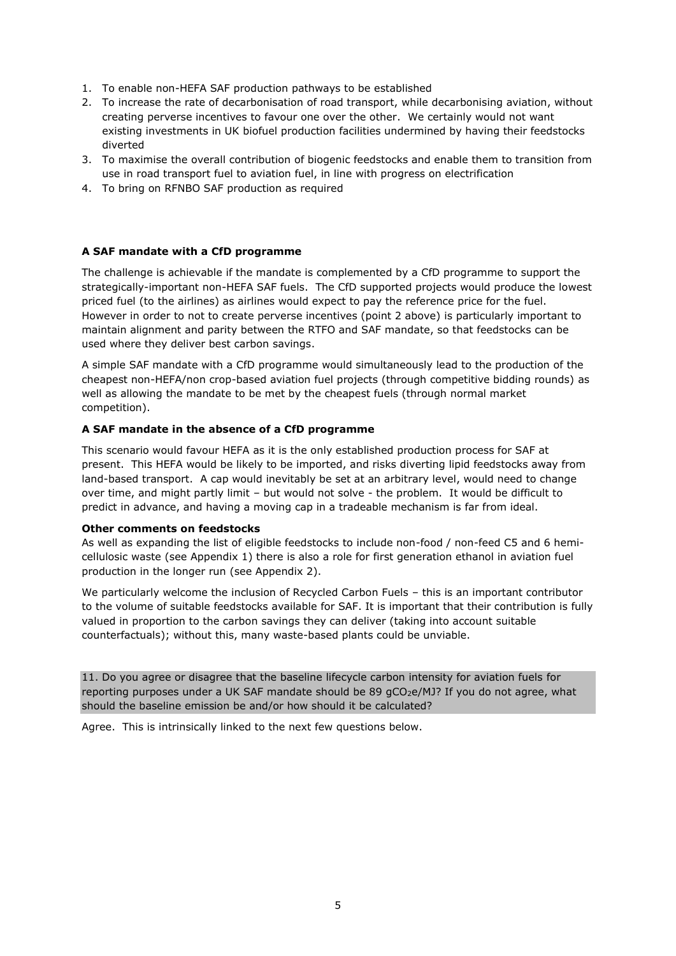- 1. To enable non-HEFA SAF production pathways to be established
- 2. To increase the rate of decarbonisation of road transport, while decarbonising aviation, without creating perverse incentives to favour one over the other. We certainly would not want existing investments in UK biofuel production facilities undermined by having their feedstocks diverted
- 3. To maximise the overall contribution of biogenic feedstocks and enable them to transition from use in road transport fuel to aviation fuel, in line with progress on electrification
- 4. To bring on RFNBO SAF production as required

#### **A SAF mandate with a CfD programme**

The challenge is achievable if the mandate is complemented by a CfD programme to support the strategically-important non-HEFA SAF fuels. The CfD supported projects would produce the lowest priced fuel (to the airlines) as airlines would expect to pay the reference price for the fuel. However in order to not to create perverse incentives (point 2 above) is particularly important to maintain alignment and parity between the RTFO and SAF mandate, so that feedstocks can be used where they deliver best carbon savings.

A simple SAF mandate with a CfD programme would simultaneously lead to the production of the cheapest non-HEFA/non crop-based aviation fuel projects (through competitive bidding rounds) as well as allowing the mandate to be met by the cheapest fuels (through normal market competition).

#### **A SAF mandate in the absence of a CfD programme**

This scenario would favour HEFA as it is the only established production process for SAF at present. This HEFA would be likely to be imported, and risks diverting lipid feedstocks away from land-based transport. A cap would inevitably be set at an arbitrary level, would need to change over time, and might partly limit – but would not solve - the problem. It would be difficult to predict in advance, and having a moving cap in a tradeable mechanism is far from ideal.

#### **Other comments on feedstocks**

As well as expanding the list of eligible feedstocks to include non-food / non-feed C5 and 6 hemicellulosic waste (see Appendix 1) there is also a role for first generation ethanol in aviation fuel production in the longer run (see Appendix 2).

We particularly welcome the inclusion of Recycled Carbon Fuels - this is an important contributor to the volume of suitable feedstocks available for SAF. It is important that their contribution is fully valued in proportion to the carbon savings they can deliver (taking into account suitable counterfactuals); without this, many waste-based plants could be unviable.

11. Do you agree or disagree that the baseline lifecycle carbon intensity for aviation fuels for reporting purposes under a UK SAF mandate should be 89  $qCO<sub>2</sub>e/MJ$ ? If you do not agree, what should the baseline emission be and/or how should it be calculated?

Agree. This is intrinsically linked to the next few questions below.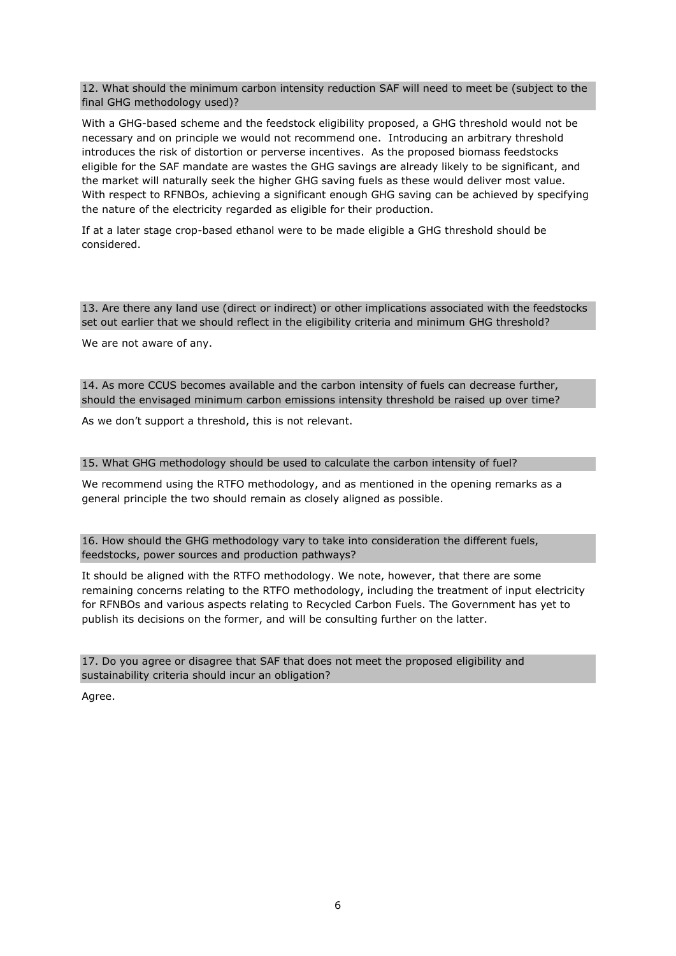12. What should the minimum carbon intensity reduction SAF will need to meet be (subject to the final GHG methodology used)?

With a GHG-based scheme and the feedstock eligibility proposed, a GHG threshold would not be necessary and on principle we would not recommend one. Introducing an arbitrary threshold introduces the risk of distortion or perverse incentives. As the proposed biomass feedstocks eligible for the SAF mandate are wastes the GHG savings are already likely to be significant, and the market will naturally seek the higher GHG saving fuels as these would deliver most value. With respect to RFNBOs, achieving a significant enough GHG saving can be achieved by specifying the nature of the electricity regarded as eligible for their production.

If at a later stage crop-based ethanol were to be made eligible a GHG threshold should be considered.

13. Are there any land use (direct or indirect) or other implications associated with the feedstocks set out earlier that we should reflect in the eligibility criteria and minimum GHG threshold?

We are not aware of any.

14. As more CCUS becomes available and the carbon intensity of fuels can decrease further, should the envisaged minimum carbon emissions intensity threshold be raised up over time?

As we don't support a threshold, this is not relevant.

#### 15. What GHG methodology should be used to calculate the carbon intensity of fuel?

We recommend using the RTFO methodology, and as mentioned in the opening remarks as a general principle the two should remain as closely aligned as possible.

16. How should the GHG methodology vary to take into consideration the different fuels, feedstocks, power sources and production pathways?

It should be aligned with the RTFO methodology. We note, however, that there are some remaining concerns relating to the RTFO methodology, including the treatment of input electricity for RFNBOs and various aspects relating to Recycled Carbon Fuels. The Government has yet to publish its decisions on the former, and will be consulting further on the latter.

17. Do you agree or disagree that SAF that does not meet the proposed eligibility and sustainability criteria should incur an obligation?

Agree.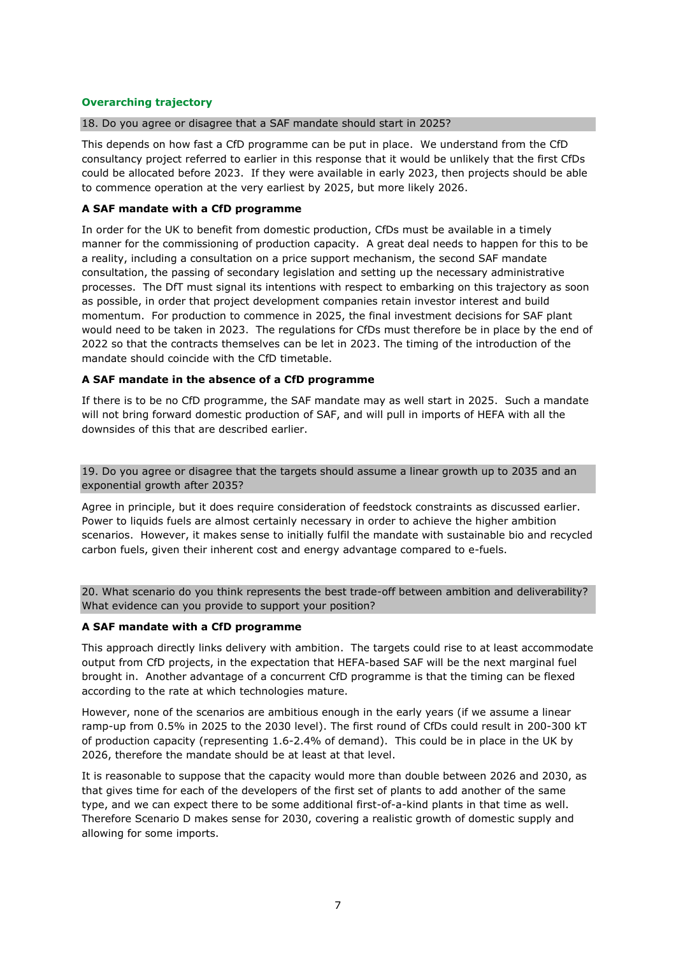## **Overarching trajectory**

#### 18. Do you agree or disagree that a SAF mandate should start in 2025?

This depends on how fast a CfD programme can be put in place. We understand from the CfD consultancy project referred to earlier in this response that it would be unlikely that the first CfDs could be allocated before 2023. If they were available in early 2023, then projects should be able to commence operation at the very earliest by 2025, but more likely 2026.

### **A SAF mandate with a CfD programme**

In order for the UK to benefit from domestic production, CfDs must be available in a timely manner for the commissioning of production capacity. A great deal needs to happen for this to be a reality, including a consultation on a price support mechanism, the second SAF mandate consultation, the passing of secondary legislation and setting up the necessary administrative processes. The DfT must signal its intentions with respect to embarking on this trajectory as soon as possible, in order that project development companies retain investor interest and build momentum. For production to commence in 2025, the final investment decisions for SAF plant would need to be taken in 2023. The regulations for CfDs must therefore be in place by the end of 2022 so that the contracts themselves can be let in 2023. The timing of the introduction of the mandate should coincide with the CfD timetable.

#### **A SAF mandate in the absence of a CfD programme**

If there is to be no CfD programme, the SAF mandate may as well start in 2025. Such a mandate will not bring forward domestic production of SAF, and will pull in imports of HEFA with all the downsides of this that are described earlier.

#### 19. Do you agree or disagree that the targets should assume a linear growth up to 2035 and an exponential growth after 2035?

Agree in principle, but it does require consideration of feedstock constraints as discussed earlier. Power to liquids fuels are almost certainly necessary in order to achieve the higher ambition scenarios. However, it makes sense to initially fulfil the mandate with sustainable bio and recycled carbon fuels, given their inherent cost and energy advantage compared to e-fuels.

20. What scenario do you think represents the best trade-off between ambition and deliverability? What evidence can you provide to support your position?

#### **A SAF mandate with a CfD programme**

This approach directly links delivery with ambition. The targets could rise to at least accommodate output from CfD projects, in the expectation that HEFA-based SAF will be the next marginal fuel brought in. Another advantage of a concurrent CfD programme is that the timing can be flexed according to the rate at which technologies mature.

However, none of the scenarios are ambitious enough in the early years (if we assume a linear ramp-up from 0.5% in 2025 to the 2030 level). The first round of CfDs could result in 200-300 kT of production capacity (representing 1.6-2.4% of demand). This could be in place in the UK by 2026, therefore the mandate should be at least at that level.

It is reasonable to suppose that the capacity would more than double between 2026 and 2030, as that gives time for each of the developers of the first set of plants to add another of the same type, and we can expect there to be some additional first-of-a-kind plants in that time as well. Therefore Scenario D makes sense for 2030, covering a realistic growth of domestic supply and allowing for some imports.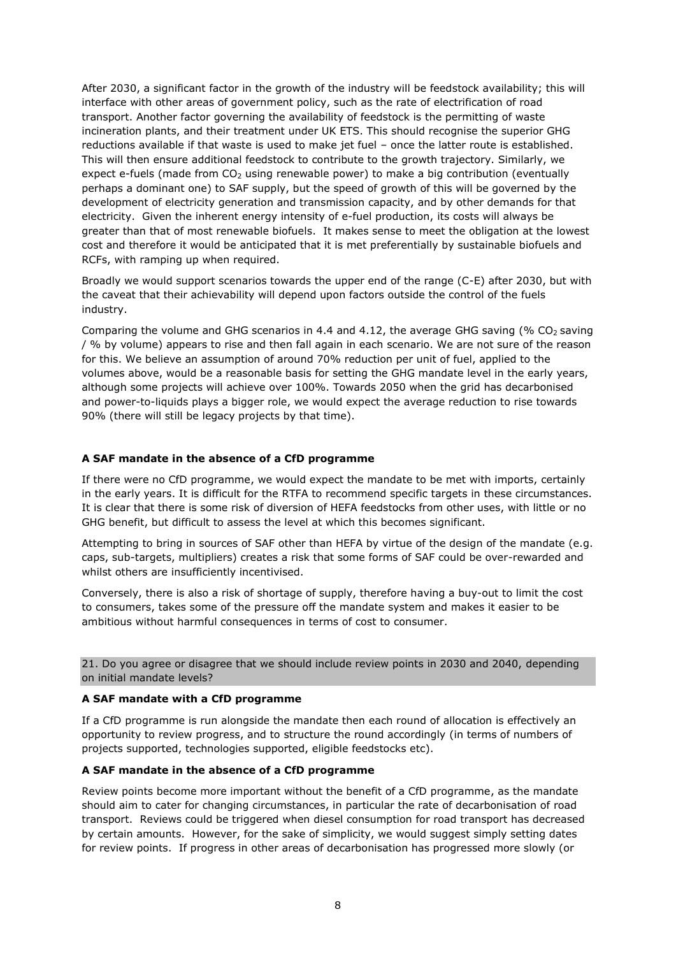After 2030, a significant factor in the growth of the industry will be feedstock availability; this will interface with other areas of government policy, such as the rate of electrification of road transport. Another factor governing the availability of feedstock is the permitting of waste incineration plants, and their treatment under UK ETS. This should recognise the superior GHG reductions available if that waste is used to make jet fuel – once the latter route is established. This will then ensure additional feedstock to contribute to the growth trajectory. Similarly, we expect e-fuels (made from  $CO<sub>2</sub>$  using renewable power) to make a big contribution (eventually perhaps a dominant one) to SAF supply, but the speed of growth of this will be governed by the development of electricity generation and transmission capacity, and by other demands for that electricity. Given the inherent energy intensity of e-fuel production, its costs will always be greater than that of most renewable biofuels. It makes sense to meet the obligation at the lowest cost and therefore it would be anticipated that it is met preferentially by sustainable biofuels and RCFs, with ramping up when required.

Broadly we would support scenarios towards the upper end of the range (C-E) after 2030, but with the caveat that their achievability will depend upon factors outside the control of the fuels industry.

Comparing the volume and GHG scenarios in 4.4 and 4.12, the average GHG saving (%  $CO<sub>2</sub>$  saving / % by volume) appears to rise and then fall again in each scenario. We are not sure of the reason for this. We believe an assumption of around 70% reduction per unit of fuel, applied to the volumes above, would be a reasonable basis for setting the GHG mandate level in the early years, although some projects will achieve over 100%. Towards 2050 when the grid has decarbonised and power-to-liquids plays a bigger role, we would expect the average reduction to rise towards 90% (there will still be legacy projects by that time).

#### **A SAF mandate in the absence of a CfD programme**

If there were no CfD programme, we would expect the mandate to be met with imports, certainly in the early years. It is difficult for the RTFA to recommend specific targets in these circumstances. It is clear that there is some risk of diversion of HEFA feedstocks from other uses, with little or no GHG benefit, but difficult to assess the level at which this becomes significant.

Attempting to bring in sources of SAF other than HEFA by virtue of the design of the mandate (e.g. caps, sub-targets, multipliers) creates a risk that some forms of SAF could be over-rewarded and whilst others are insufficiently incentivised.

Conversely, there is also a risk of shortage of supply, therefore having a buy-out to limit the cost to consumers, takes some of the pressure off the mandate system and makes it easier to be ambitious without harmful consequences in terms of cost to consumer.

21. Do you agree or disagree that we should include review points in 2030 and 2040, depending on initial mandate levels?

#### **A SAF mandate with a CfD programme**

If a CfD programme is run alongside the mandate then each round of allocation is effectively an opportunity to review progress, and to structure the round accordingly (in terms of numbers of projects supported, technologies supported, eligible feedstocks etc).

#### **A SAF mandate in the absence of a CfD programme**

Review points become more important without the benefit of a CfD programme, as the mandate should aim to cater for changing circumstances, in particular the rate of decarbonisation of road transport. Reviews could be triggered when diesel consumption for road transport has decreased by certain amounts. However, for the sake of simplicity, we would suggest simply setting dates for review points. If progress in other areas of decarbonisation has progressed more slowly (or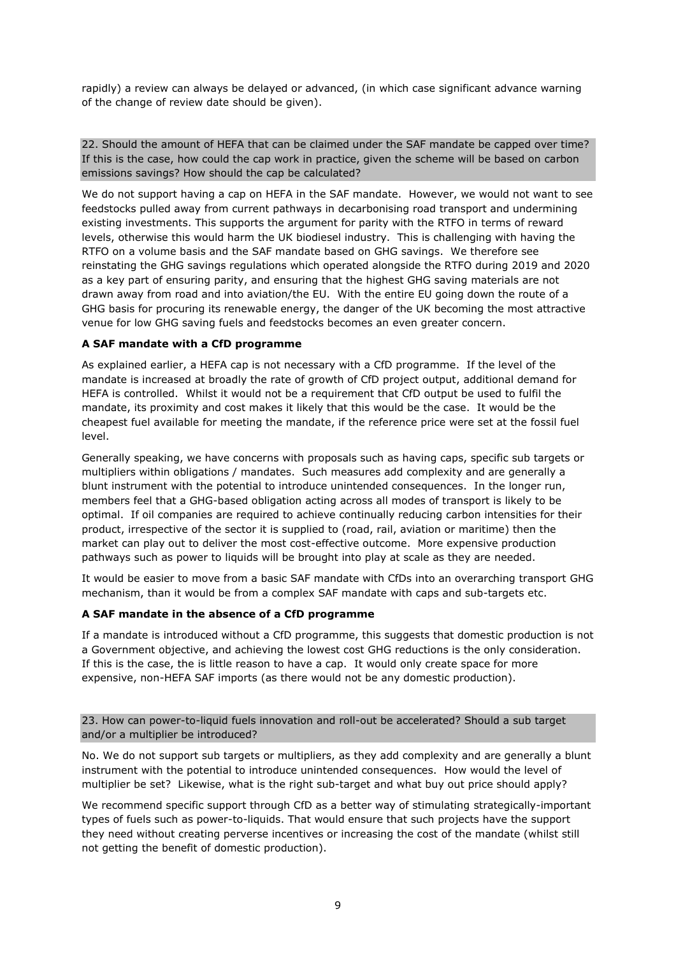rapidly) a review can always be delayed or advanced, (in which case significant advance warning of the change of review date should be given).

22. Should the amount of HEFA that can be claimed under the SAF mandate be capped over time? If this is the case, how could the cap work in practice, given the scheme will be based on carbon emissions savings? How should the cap be calculated?

We do not support having a cap on HEFA in the SAF mandate. However, we would not want to see feedstocks pulled away from current pathways in decarbonising road transport and undermining existing investments. This supports the argument for parity with the RTFO in terms of reward levels, otherwise this would harm the UK biodiesel industry. This is challenging with having the RTFO on a volume basis and the SAF mandate based on GHG savings. We therefore see reinstating the GHG savings regulations which operated alongside the RTFO during 2019 and 2020 as a key part of ensuring parity, and ensuring that the highest GHG saving materials are not drawn away from road and into aviation/the EU. With the entire EU going down the route of a GHG basis for procuring its renewable energy, the danger of the UK becoming the most attractive venue for low GHG saving fuels and feedstocks becomes an even greater concern.

## **A SAF mandate with a CfD programme**

As explained earlier, a HEFA cap is not necessary with a CfD programme. If the level of the mandate is increased at broadly the rate of growth of CfD project output, additional demand for HEFA is controlled. Whilst it would not be a requirement that CfD output be used to fulfil the mandate, its proximity and cost makes it likely that this would be the case. It would be the cheapest fuel available for meeting the mandate, if the reference price were set at the fossil fuel level.

Generally speaking, we have concerns with proposals such as having caps, specific sub targets or multipliers within obligations / mandates. Such measures add complexity and are generally a blunt instrument with the potential to introduce unintended consequences. In the longer run, members feel that a GHG-based obligation acting across all modes of transport is likely to be optimal. If oil companies are required to achieve continually reducing carbon intensities for their product, irrespective of the sector it is supplied to (road, rail, aviation or maritime) then the market can play out to deliver the most cost-effective outcome. More expensive production pathways such as power to liquids will be brought into play at scale as they are needed.

It would be easier to move from a basic SAF mandate with CfDs into an overarching transport GHG mechanism, than it would be from a complex SAF mandate with caps and sub-targets etc.

## **A SAF mandate in the absence of a CfD programme**

If a mandate is introduced without a CfD programme, this suggests that domestic production is not a Government objective, and achieving the lowest cost GHG reductions is the only consideration. If this is the case, the is little reason to have a cap. It would only create space for more expensive, non-HEFA SAF imports (as there would not be any domestic production).

23. How can power-to-liquid fuels innovation and roll-out be accelerated? Should a sub target and/or a multiplier be introduced?

No. We do not support sub targets or multipliers, as they add complexity and are generally a blunt instrument with the potential to introduce unintended consequences. How would the level of multiplier be set? Likewise, what is the right sub-target and what buy out price should apply?

We recommend specific support through CfD as a better way of stimulating strategically-important types of fuels such as power-to-liquids. That would ensure that such projects have the support they need without creating perverse incentives or increasing the cost of the mandate (whilst still not getting the benefit of domestic production).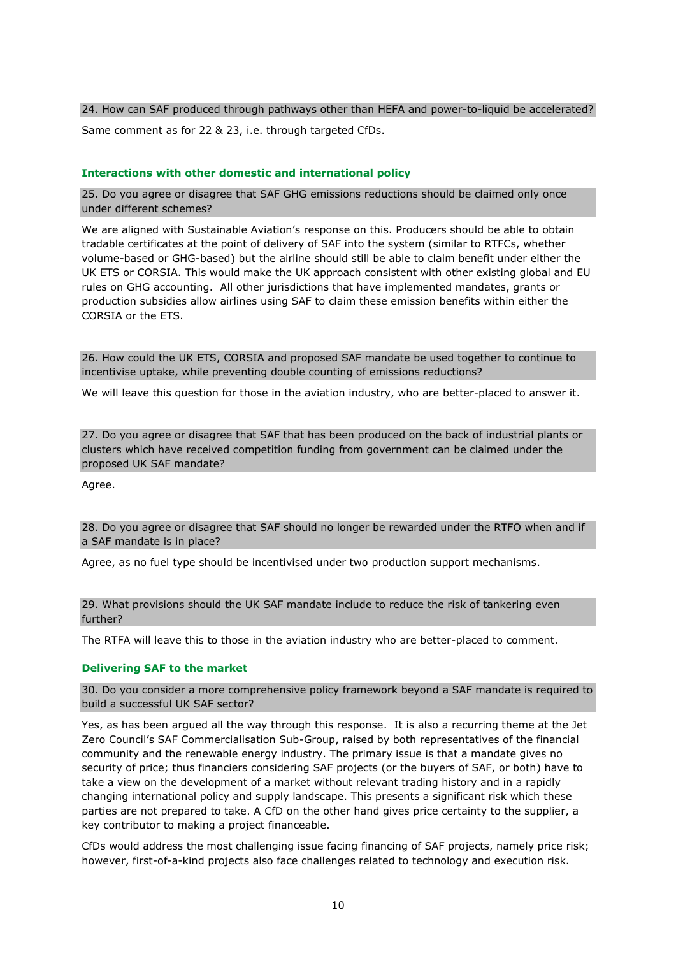#### 24. How can SAF produced through pathways other than HEFA and power-to-liquid be accelerated?

Same comment as for 22 & 23, i.e. through targeted CfDs.

#### **Interactions with other domestic and international policy**

25. Do you agree or disagree that SAF GHG emissions reductions should be claimed only once under different schemes?

We are aligned with Sustainable Aviation's response on this. Producers should be able to obtain tradable certificates at the point of delivery of SAF into the system (similar to RTFCs, whether volume-based or GHG-based) but the airline should still be able to claim benefit under either the UK ETS or CORSIA. This would make the UK approach consistent with other existing global and EU rules on GHG accounting. All other jurisdictions that have implemented mandates, grants or production subsidies allow airlines using SAF to claim these emission benefits within either the CORSIA or the ETS.

26. How could the UK ETS, CORSIA and proposed SAF mandate be used together to continue to incentivise uptake, while preventing double counting of emissions reductions?

We will leave this question for those in the aviation industry, who are better-placed to answer it.

27. Do you agree or disagree that SAF that has been produced on the back of industrial plants or clusters which have received competition funding from government can be claimed under the proposed UK SAF mandate?

Agree.

28. Do you agree or disagree that SAF should no longer be rewarded under the RTFO when and if a SAF mandate is in place?

Agree, as no fuel type should be incentivised under two production support mechanisms.

29. What provisions should the UK SAF mandate include to reduce the risk of tankering even further?

The RTFA will leave this to those in the aviation industry who are better-placed to comment.

#### **Delivering SAF to the market**

30. Do you consider a more comprehensive policy framework beyond a SAF mandate is required to build a successful UK SAF sector?

Yes, as has been argued all the way through this response. It is also a recurring theme at the Jet Zero Council's SAF Commercialisation Sub-Group, raised by both representatives of the financial community and the renewable energy industry. The primary issue is that a mandate gives no security of price; thus financiers considering SAF projects (or the buyers of SAF, or both) have to take a view on the development of a market without relevant trading history and in a rapidly changing international policy and supply landscape. This presents a significant risk which these parties are not prepared to take. A CfD on the other hand gives price certainty to the supplier, a key contributor to making a project financeable.

CfDs would address the most challenging issue facing financing of SAF projects, namely price risk; however, first-of-a-kind projects also face challenges related to technology and execution risk.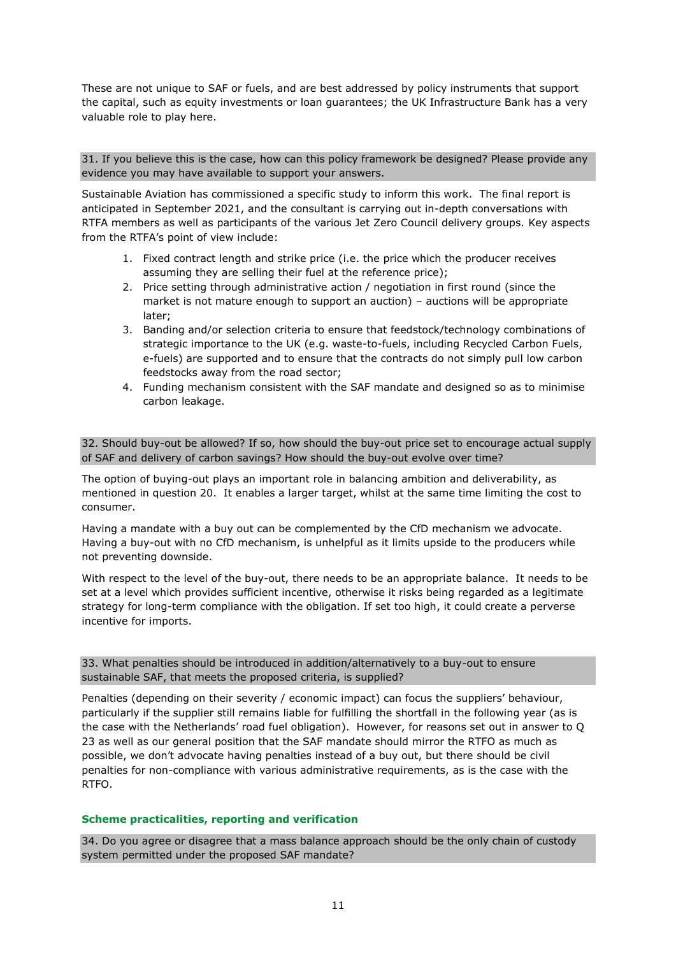These are not unique to SAF or fuels, and are best addressed by policy instruments that support the capital, such as equity investments or loan guarantees; the UK Infrastructure Bank has a very valuable role to play here.

### 31. If you believe this is the case, how can this policy framework be designed? Please provide any evidence you may have available to support your answers.

Sustainable Aviation has commissioned a specific study to inform this work. The final report is anticipated in September 2021, and the consultant is carrying out in-depth conversations with RTFA members as well as participants of the various Jet Zero Council delivery groups. Key aspects from the RTFA's point of view include:

- 1. Fixed contract length and strike price (i.e. the price which the producer receives assuming they are selling their fuel at the reference price);
- 2. Price setting through administrative action / negotiation in first round (since the market is not mature enough to support an auction) – auctions will be appropriate later;
- 3. Banding and/or selection criteria to ensure that feedstock/technology combinations of strategic importance to the UK (e.g. waste-to-fuels, including Recycled Carbon Fuels, e-fuels) are supported and to ensure that the contracts do not simply pull low carbon feedstocks away from the road sector;
- 4. Funding mechanism consistent with the SAF mandate and designed so as to minimise carbon leakage.

32. Should buy-out be allowed? If so, how should the buy-out price set to encourage actual supply of SAF and delivery of carbon savings? How should the buy-out evolve over time?

The option of buying-out plays an important role in balancing ambition and deliverability, as mentioned in question 20. It enables a larger target, whilst at the same time limiting the cost to consumer.

Having a mandate with a buy out can be complemented by the CfD mechanism we advocate. Having a buy-out with no CfD mechanism, is unhelpful as it limits upside to the producers while not preventing downside.

With respect to the level of the buy-out, there needs to be an appropriate balance. It needs to be set at a level which provides sufficient incentive, otherwise it risks being regarded as a legitimate strategy for long-term compliance with the obligation. If set too high, it could create a perverse incentive for imports.

33. What penalties should be introduced in addition/alternatively to a buy-out to ensure sustainable SAF, that meets the proposed criteria, is supplied?

Penalties (depending on their severity / economic impact) can focus the suppliers' behaviour, particularly if the supplier still remains liable for fulfilling the shortfall in the following year (as is the case with the Netherlands' road fuel obligation). However, for reasons set out in answer to Q 23 as well as our general position that the SAF mandate should mirror the RTFO as much as possible, we don't advocate having penalties instead of a buy out, but there should be civil penalties for non-compliance with various administrative requirements, as is the case with the RTFO.

## **Scheme practicalities, reporting and verification**

34. Do you agree or disagree that a mass balance approach should be the only chain of custody system permitted under the proposed SAF mandate?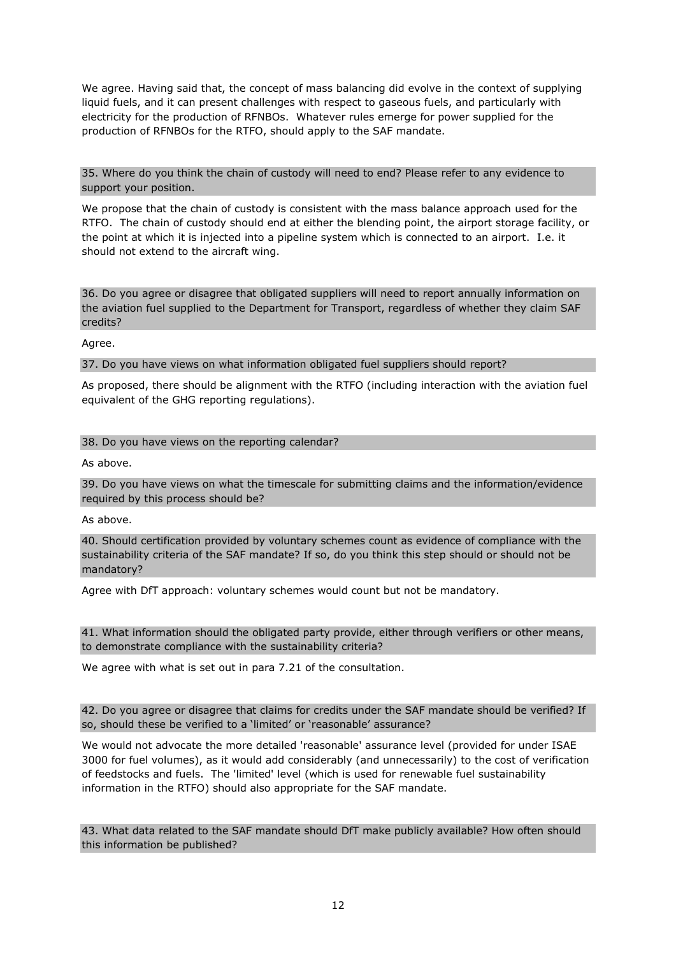We agree. Having said that, the concept of mass balancing did evolve in the context of supplying liquid fuels, and it can present challenges with respect to gaseous fuels, and particularly with electricity for the production of RFNBOs. Whatever rules emerge for power supplied for the production of RFNBOs for the RTFO, should apply to the SAF mandate.

35. Where do you think the chain of custody will need to end? Please refer to any evidence to support your position.

We propose that the chain of custody is consistent with the mass balance approach used for the RTFO. The chain of custody should end at either the blending point, the airport storage facility, or the point at which it is injected into a pipeline system which is connected to an airport. I.e. it should not extend to the aircraft wing.

36. Do you agree or disagree that obligated suppliers will need to report annually information on the aviation fuel supplied to the Department for Transport, regardless of whether they claim SAF credits?

Agree.

37. Do you have views on what information obligated fuel suppliers should report?

As proposed, there should be alignment with the RTFO (including interaction with the aviation fuel equivalent of the GHG reporting regulations).

#### 38. Do you have views on the reporting calendar?

As above.

39. Do you have views on what the timescale for submitting claims and the information/evidence required by this process should be?

As above.

40. Should certification provided by voluntary schemes count as evidence of compliance with the sustainability criteria of the SAF mandate? If so, do you think this step should or should not be mandatory?

Agree with DfT approach: voluntary schemes would count but not be mandatory.

41. What information should the obligated party provide, either through verifiers or other means, to demonstrate compliance with the sustainability criteria?

We agree with what is set out in para 7.21 of the consultation.

42. Do you agree or disagree that claims for credits under the SAF mandate should be verified? If so, should these be verified to a 'limited' or 'reasonable' assurance?

We would not advocate the more detailed 'reasonable' assurance level (provided for under ISAE 3000 for fuel volumes), as it would add considerably (and unnecessarily) to the cost of verification of feedstocks and fuels. The 'limited' level (which is used for renewable fuel sustainability information in the RTFO) should also appropriate for the SAF mandate.

43. What data related to the SAF mandate should DfT make publicly available? How often should this information be published?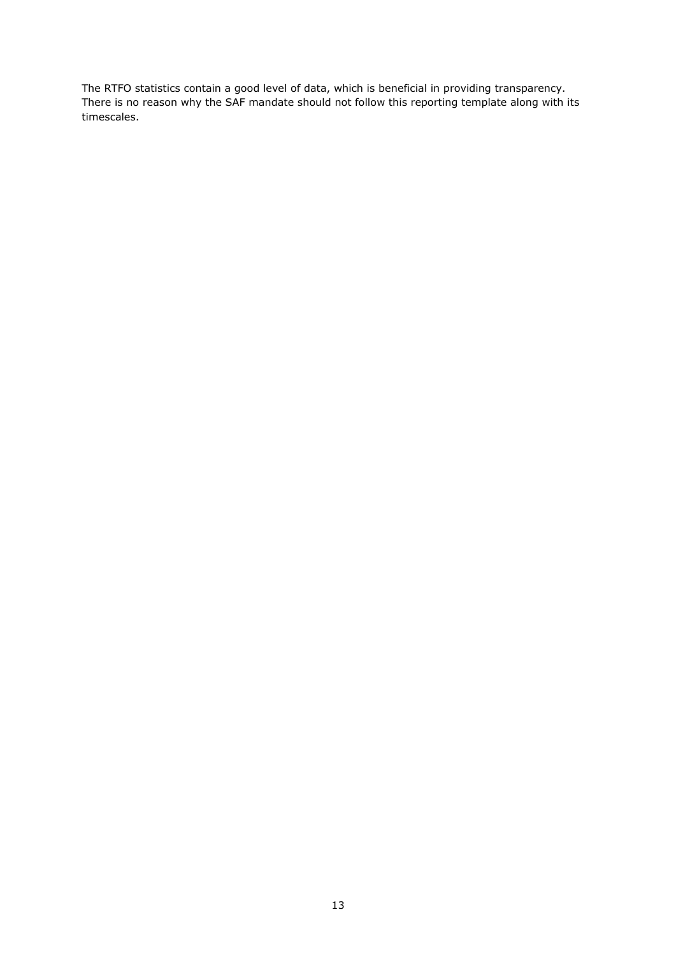The RTFO statistics contain a good level of data, which is beneficial in providing transparency. There is no reason why the SAF mandate should not follow this reporting template along with its timescales.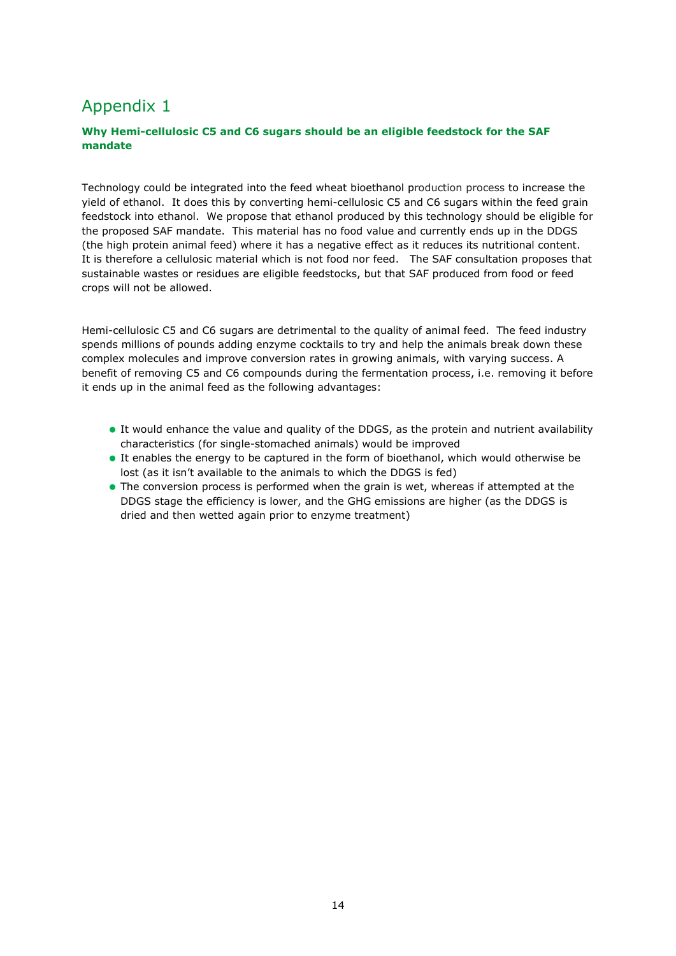## Appendix 1

## **Why Hemi-cellulosic C5 and C6 sugars should be an eligible feedstock for the SAF mandate**

Technology could be integrated into the feed wheat bioethanol production process to increase the yield of ethanol. It does this by converting hemi-cellulosic C5 and C6 sugars within the feed grain feedstock into ethanol. We propose that ethanol produced by this technology should be eligible for the proposed SAF mandate. This material has no food value and currently ends up in the DDGS (the high protein animal feed) where it has a negative effect as it reduces its nutritional content. It is therefore a cellulosic material which is not food nor feed. The SAF consultation proposes that sustainable wastes or residues are eligible feedstocks, but that SAF produced from food or feed crops will not be allowed.

Hemi-cellulosic C5 and C6 sugars are detrimental to the quality of animal feed. The feed industry spends millions of pounds adding enzyme cocktails to try and help the animals break down these complex molecules and improve conversion rates in growing animals, with varying success. A benefit of removing C5 and C6 compounds during the fermentation process, i.e. removing it before it ends up in the animal feed as the following advantages:

- It would enhance the value and quality of the DDGS, as the protein and nutrient availability characteristics (for single-stomached animals) would be improved
- It enables the energy to be captured in the form of bioethanol, which would otherwise be lost (as it isn't available to the animals to which the DDGS is fed)
- The conversion process is performed when the grain is wet, whereas if attempted at the DDGS stage the efficiency is lower, and the GHG emissions are higher (as the DDGS is dried and then wetted again prior to enzyme treatment)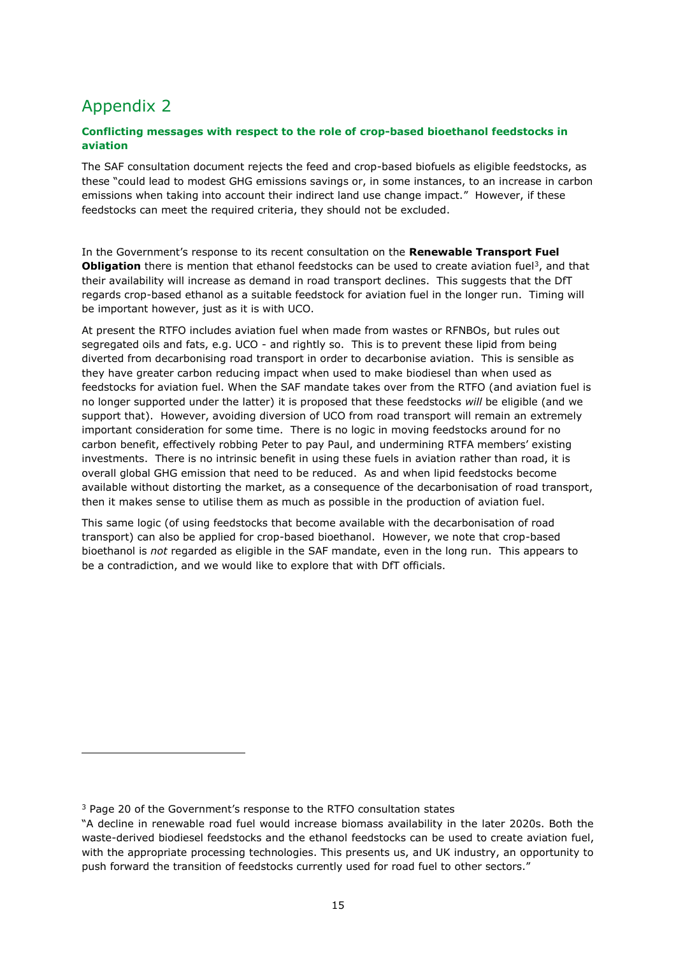## Appendix 2

## **Conflicting messages with respect to the role of crop-based bioethanol feedstocks in aviation**

The SAF consultation document rejects the feed and crop-based biofuels as eligible feedstocks, as these "could lead to modest GHG emissions savings or, in some instances, to an increase in carbon emissions when taking into account their indirect land use change impact." However, if these feedstocks can meet the required criteria, they should not be excluded.

In the Government's response to its recent consultation on the **Renewable Transport Fuel Obligation** there is mention that ethanol feedstocks can be used to create aviation fuel<sup>3</sup>, and that their availability will increase as demand in road transport declines. This suggests that the DfT regards crop-based ethanol as a suitable feedstock for aviation fuel in the longer run. Timing will be important however, just as it is with UCO.

At present the RTFO includes aviation fuel when made from wastes or RFNBOs, but rules out segregated oils and fats, e.g. UCO - and rightly so. This is to prevent these lipid from being diverted from decarbonising road transport in order to decarbonise aviation. This is sensible as they have greater carbon reducing impact when used to make biodiesel than when used as feedstocks for aviation fuel. When the SAF mandate takes over from the RTFO (and aviation fuel is no longer supported under the latter) it is proposed that these feedstocks *will* be eligible (and we support that). However, avoiding diversion of UCO from road transport will remain an extremely important consideration for some time. There is no logic in moving feedstocks around for no carbon benefit, effectively robbing Peter to pay Paul, and undermining RTFA members' existing investments. There is no intrinsic benefit in using these fuels in aviation rather than road, it is overall global GHG emission that need to be reduced. As and when lipid feedstocks become available without distorting the market, as a consequence of the decarbonisation of road transport, then it makes sense to utilise them as much as possible in the production of aviation fuel.

This same logic (of using feedstocks that become available with the decarbonisation of road transport) can also be applied for crop-based bioethanol. However, we note that crop-based bioethanol is *not* regarded as eligible in the SAF mandate, even in the long run. This appears to be a contradiction, and we would like to explore that with DfT officials.

<sup>3</sup> Page 20 of the Government's response to the RTFO consultation states

<sup>&</sup>quot;A decline in renewable road fuel would increase biomass availability in the later 2020s. Both the waste-derived biodiesel feedstocks and the ethanol feedstocks can be used to create aviation fuel, with the appropriate processing technologies. This presents us, and UK industry, an opportunity to push forward the transition of feedstocks currently used for road fuel to other sectors."